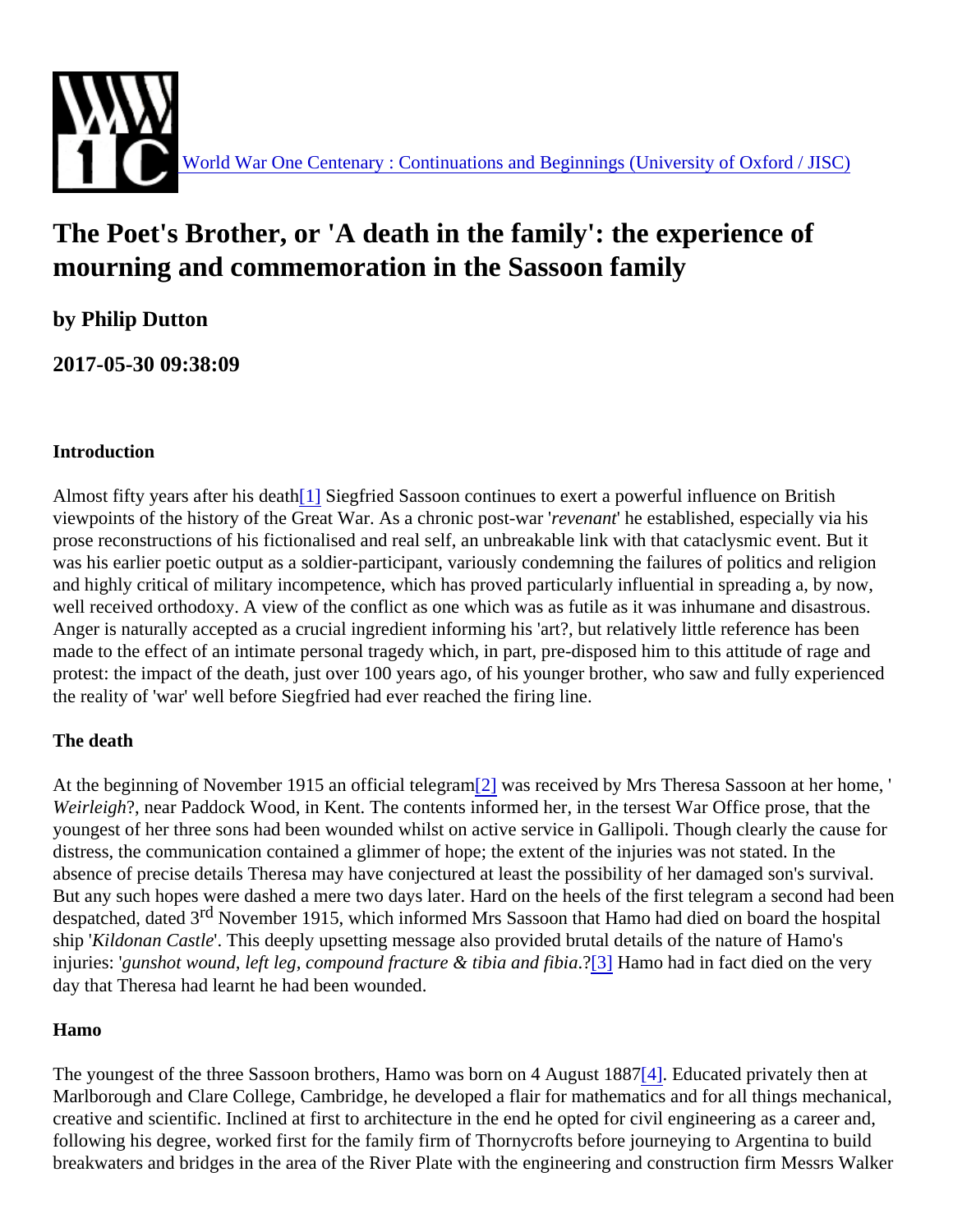# <span id="page-0-0"></span>The Poet's Brother, or 'A death in the family': the experience of mourning and commemoration in the Sassoon family

by Philip Dutton

2017-05-30 09:38:09

#### Introduction

Almost fifty years after his death Siegfried Sassoon continues to exert a powerful influence on British viewpoints of the history of the Great War. As a chronic post-reachant he established, especially via his prose reconstructions of his fictionalised and real self, an unbreakable link with that cataclysmic event. But it was his earlier poetic output as a soldier-participant, variously condemning the failures of politics and religion and highly critical of military incompetence, which has proved particularly influential in spreading a, by now, well received orthodoxy. A view of the conflict as one which was as futile as it was inhumane and disastrous. Anger is naturally accepted as a crucial ingredient informing his 'art?, but relatively little reference has been made to the effect of an intimate personal tragedy which, in part, pre-disposed him to this attitude of rage and protest: the impact of the death, just over 100 years ago, of his younger brother, who saw and fully experienc the reality of 'war' well before Siegfried had ever reached the firing line.

#### The death

At the beginning of November 1915 an official telegran was received by Mrs Theresa Sassoon at her home, ' Weirleigh?, near Paddock Wood, in Kent. The contents informed her, in the tersest War Office prose, that the youngest of her three sons had been wounded whilst on active service in Gallipoli. Though clearly the cause for distress, the communication contained a glimmer of hope; the extent of the injuries was not stated. In the absence of precise details Theresa may have conjectured at least the possibility of her damaged son's surviv But any such hopes were dashed a mere two days later. Hard on the heels of the first telegram a second had despatched, dated<sup>d</sup> 3November 1915, which informed Mrs Sassoon that Hamo had died on board the hospital ship Kildonan Castle This deeply upsetting message also provided brutal details of the nature of Hamo's injuries: gunshot wound, left leg, compound fracture & ti[bia](#page-4-0) and flap Hamo had in fact died on the very day that Theresa had learnt he had been wounded.

#### Hamo

The youngest of the three Sassoon brothers, Hamo was born on 4 Aug[ust](#page-4-0). **Edu**cated privately then at Marlborough and Clare College, Cambridge, he developed a flair for mathematics and for all things mechanic creative and scientific. Inclined at first to architecture in the end he opted for civil engineering as a career and following his degree, worked first for the family firm of Thornycrofts before journeying to Argentina to build breakwaters and bridges in the area of the River Plate with the engineering and construction firm Messrs Walker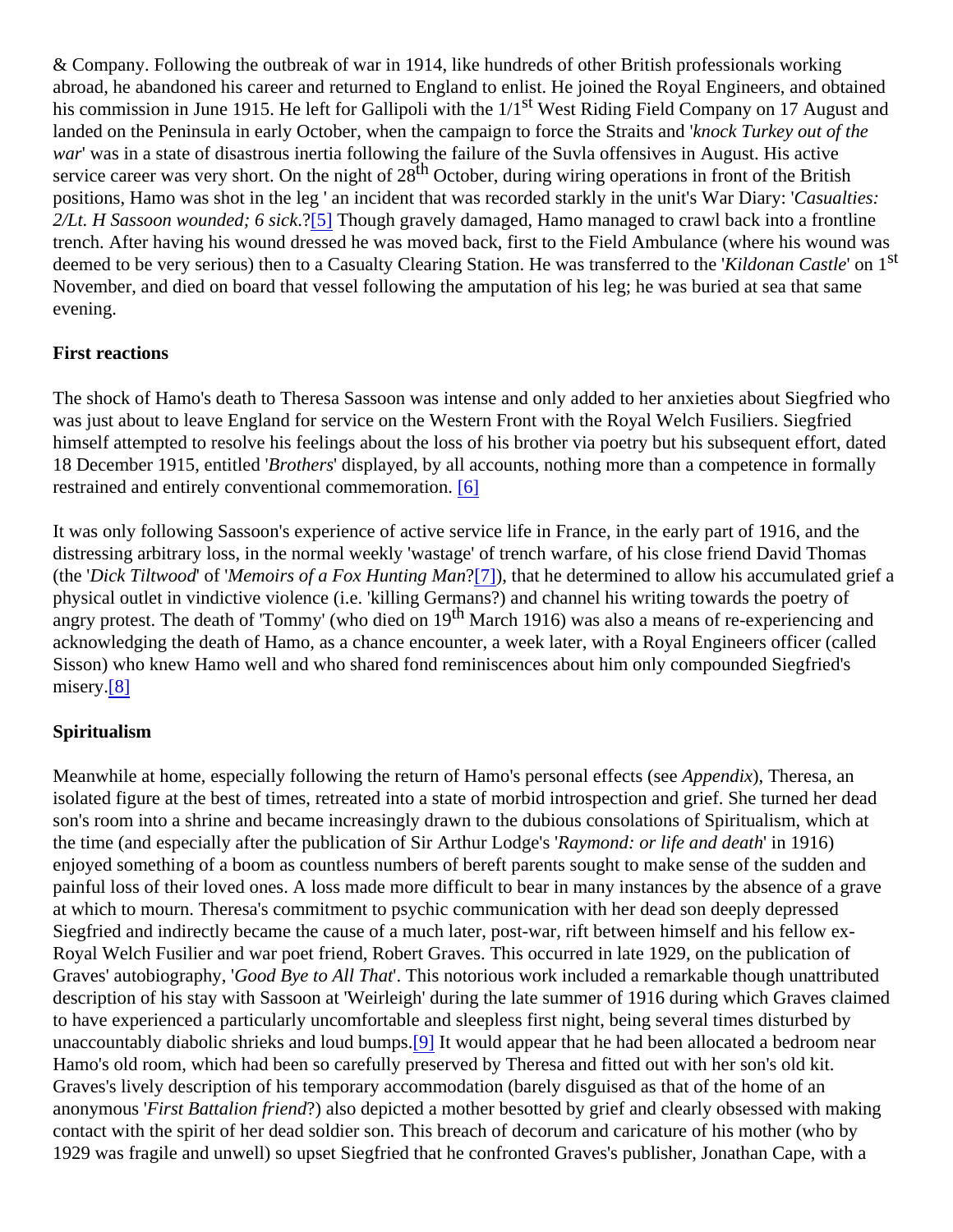<span id="page-1-0"></span>& Company. Following the outbreak of war in 1914, like hundreds of other British professionals working abroad, he abandoned his career and returned to England to enlist. He joined the Royal Engineers, and obtain his commission in June 1915. He left for Gallipoli with the<sup>st</sup> West Riding Field Company on 17 August and landed on the Peninsula in early October, when the campaign to force the Straits and durkey out of the war' was in a state of disastrous inertia following the failure of the Suvla offensives in August. His active service career was very short. On the night  $\frac{d}{dt}$  28 tober, during wiring operations in front of the British positions, Hamo was shot in the leg ' an incident that was recorded starkly in the unit's WaCD is anytries:  $2/Lt$ . H Sassoon wounded; 6 si $\frac{7}{6}$  Though gravely damaged, Hamo managed to crawl back into a frontline trench. After having his wound dressed he was moved back, first to the Field Ambulance (where his wound w deemed to be very serious) then to a Casualty Clearing Station. He was transferred to the ' Castleon <sup>St</sup> November, and died on board that vessel following the amputation of his leg; he was buried at sea that same evening.

#### First reactions

The shock of Hamo's death to Theresa Sassoon was intense and only added to her anxieties about Siegfried who was just about to leave England for service on the Western Front with the Royal Welch Fusiliers. Siegfried himself attempted to resolve his feelings about the loss of his brother via poetry but his subsequent effort, dat 18 December 1915, entitled rothers displayed, by all accounts, nothing more than a competence in formally restrained and entirely conven[tion](#page-4-0)al commemoration.

It was only following Sassoon's experience of active service life in France, in the early part of 1916, and the distressing arbitrary loss, in the normal weekly 'wastage' of trench warfare, of his close friend David Thomas (the Dick Tiltwood of 'Memoirs of a Fox Hunting Man<sup>7</sup>]), that he determined to allow his accumulated grief a physical outlet in vindictive violence (i.e. 'killing Germans?) and channel his writing towards the poetry of angry protest. The death of 'Tommy' (who died o<sup>th</sup> March 1916) was also a means of re-experiencing and acknowledging the death of Hamo, as a chance encounter, a week later, with a Royal Engineers officer (calle Sisson) who knew Hamo well and who shared fond reminiscences about him only compounded Siegfried's misery<sup>[8]</sup>

#### Spiritualism

Meanwhile at home, especially following the return of Hamo's personal effects (seedix), Theresa, an isolated figure at the best of times, retreated into a state of morbid introspection and grief. She turned her dea son's room into a shrine and became increasingly drawn to the dubious consolations of Spiritualism, which at the time (and especially after the publication of Sir Arthur Lodge's mond: or life and death 1916) enjoyed something of a boom as countless numbers of bereft parents sought to make sense of the sudden and painful loss of their loved ones. A loss made more difficult to bear in many instances by the absence of a grav at which to mourn. Theresa's commitment to psychic communication with her dead son deeply depressed Siegfried and indirectly became the cause of a much later, post-war, rift between himself and his fellow ex-Royal Welch Fusilier and war poet friend, Robert Graves. This occurred in late 1929, on the publication of Graves' autobiograph)Good Bye to All That This notorious work included a remarkable though unattributed description of his stay with Sassoon at 'Weirleigh' during the late summer of 1916 during which Graves claime to have experienced a particularly uncomfortable and sleepless first night, being several times disturbed by unaccountably diabolic shrieks and loud bu[mp](#page-4-0)t at would appear that he had been allocated a bedroom near Hamo's old room, which had been so carefully preserved by Theresa and fitted out with her son's old kit. Graves's lively description of his temporary accommodation (barely disguised as that of the home of an anonymous First Battalion frien $\alpha$ ) also depicted a mother besotted by grief and clearly obsessed with making contact with the spirit of her dead soldier son. This breach of decorum and caricature of his mother (who by 1929 was fragile and unwell) so upset Siegfried that he confronted Graves's publisher, Jonathan Cape, with a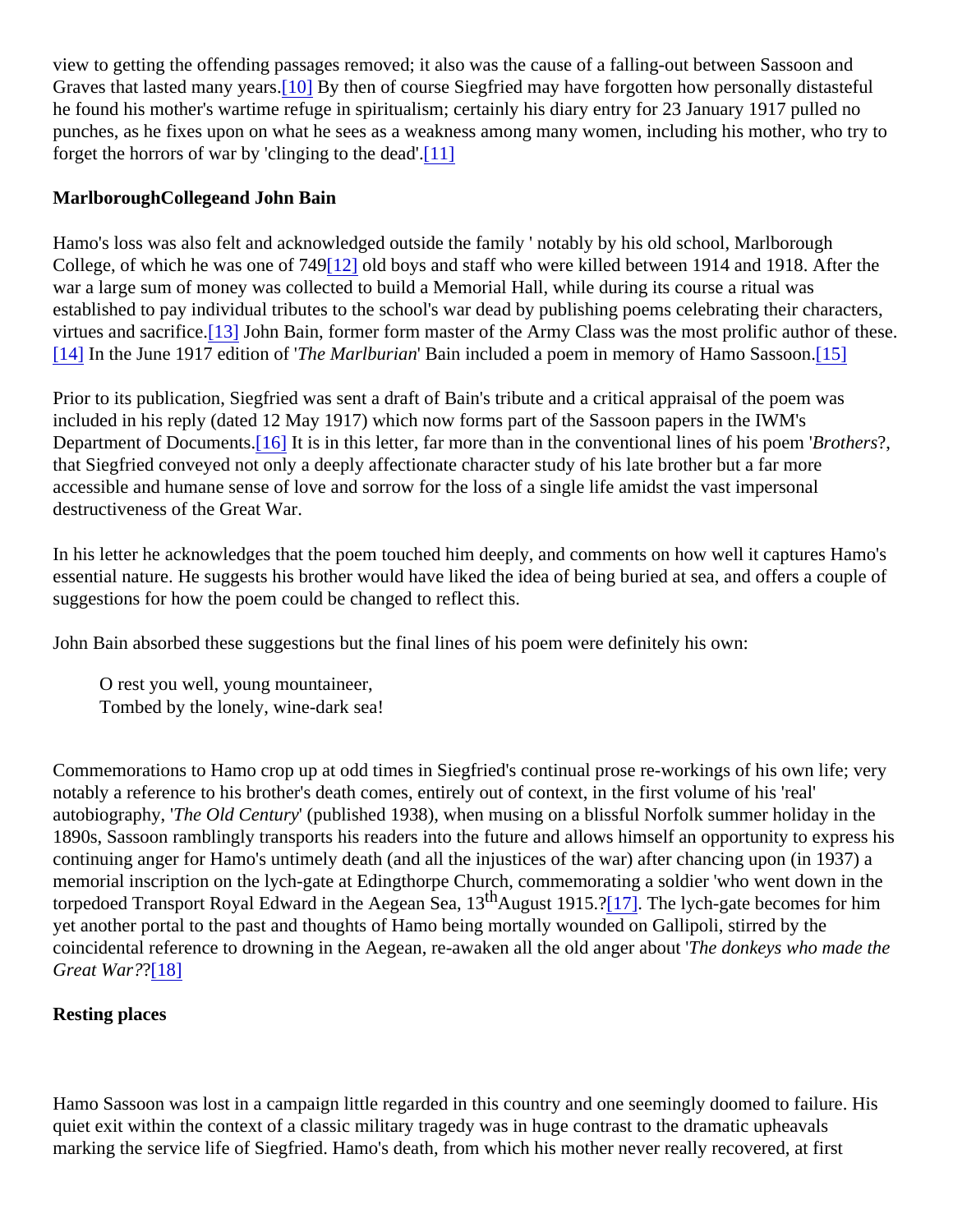<span id="page-2-0"></span>view to getting the offending passages removed; it also was the cause of a falling-out between Sassoon and Graves that lasted many years. By then of course Siegfried may have forgotten how personally distasteful he found his mother's wartime refuge in spiritualism; certainly his diary entry for 23 January 1917 pulled no punches, as he fixes upon on what he sees as a weakness among many women, including his mother, who to forget the horrors of war by 'clinging to the d[ead'.](#page-5-0)

Marlborough Collegeand John Bain

Hamo's loss was also felt and acknowledged outside the family ' notably by his old school, Marlborough College, of which he was one of 749 old boys and staff who were killed between 1914 and 1918. After the war a large sum of money was collected to build a Memorial Hall, while during its course a ritual was established to pay individual tributes to the school's war dead by publishing poems celebrating their character virtues and sacrifice. John Bain, former form master of the Army Class was the most prolific author of these. [\[14\]](#page-5-0) In the June 1917 edition d The Marlburian Bain included a poem in memory of Hamo Sass  $\delta\delta h$ .

Prior to its publication, Siegfried was sent a draft of Bain's tribute and a critical appraisal of the poem was included in his reply (dated 12 May 1917) which now forms part of the Sassoon papers in the IWM's Department of Document<sup>§6</sup>] It is in this letter, far more than in the conventional lines of his p**Bent**hers?, that Siegfried conveyed not only a deeply affectionate character study of his late brother but a far more accessible and humane sense of love and sorrow for the loss of a single life amidst the vast impersonal destructiveness of the Great War.

In his letter he acknowledges that the poem touched him deeply, and comments on how well it captures Ham essential nature. He suggests his brother would have liked the idea of being buried at sea, and offers a coupl suggestions for how the poem could be changed to reflect this.

John Bain absorbed these suggestions but the final lines of his poem were definitely his own:

O rest you well, young mountaineer, Tombed by the lonely, wine-dark sea!

Commemorations to Hamo crop up at odd times in Siegfried's continual prose re-workings of his own life; ver notably a reference to his brother's death comes, entirely out of context, in the first volume of his 'real' autobiography, The Old Centur (published 1938), when musing on a blissful Norfolk summer holiday in the 1890s, Sassoon ramblingly transports his readers into the future and allows himself an opportunity to express continuing anger for Hamo's untimely death (and all the injustices of the war) after chancing upon (in 1937) a memorial inscription on the lych-gate at Edingthorpe Church, commemorating a soldier 'who went down in the torpedoed Transport Royal Edward in the Aegean Sea, 0 and 1915.[7]. The lych-gate becomes for him yet another portal to the past and thoughts of Hamo being mortally wounded on Gallipoli, stirred by the coincidental reference to drowning in the Aegean, re-awaken all the old anger about the who made the Great War[?\[18\]](#page-5-0)

Resting places

Hamo Sassoon was lost in a campaign little regarded in this country and one seemingly doomed to failure. His quiet exit within the context of a classic military tragedy was in huge contrast to the dramatic upheavals marking the service life of Siegfried. Hamo's death, from which his mother never really recovered, at first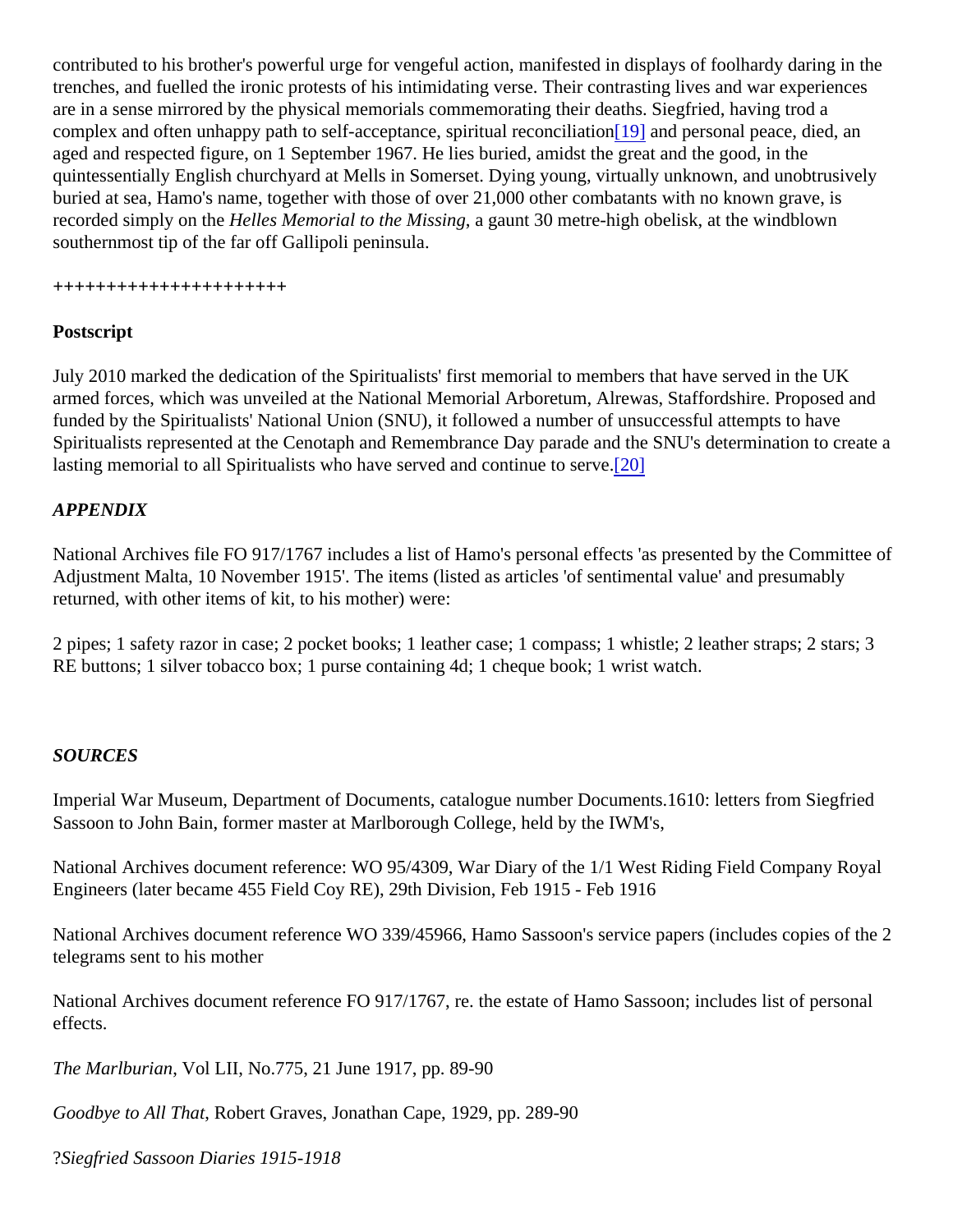<span id="page-3-0"></span>contributed to his brother's powerful urge for vengeful action, manifested in displays of foolhardy daring in the trenches, and fuelled the ironic protests of his intimidating verse. Their contrasting lives and war experiences are in a sense mirrored by the physical memorials commemorating their deaths. Siegfried, having trod a complex and often unhappy path to self-acceptance, spiritual recondition diversional peace, died, an aged and respected figure, on 1 September 1967. He lies buried, amidst the great and the good, in the quintessentially English churchyard at Mells in Somerset. Dying young, virtually unknown, and unobtrusively buried at sea, Hamo's name, together with those of over 21,000 other combatants with no known grave, is recorded simply on the elles Memorial to the Missing gaunt 30 metre-high obelisk, at the windblown southernmost tip of the far off Gallipoli peninsula.

#### ++++++++++++++++++++++

#### Postscript

July 2010 marked the dedication of the Spiritualists' first memorial to members that have served in the UK armed forces, which was unveiled at the National Memorial Arboretum, Alrewas, Staffordshire. Proposed and funded by the Spiritualists' National Union (SNU), it followed a number of unsuccessful attempts to have Spiritualists represented at the Cenotaph and Remembrance Day parade and the SNU's determination to cre lasting memorial to all Spiritualists who have [serv](#page-5-0)ed and continue to  $\sqrt{2\theta}$  ve.

#### APPENDIX

National Archives file FO 917/1767 includes a list of Hamo's personal effects 'as presented by the Committee Adjustment Malta, 10 November 1915'. The items (listed as articles 'of sentimental value' and presumably returned, with other items of kit, to his mother) were:

2 pipes; 1 safety razor in case; 2 pocket books; 1 leather case; 1 compass; 1 whistle; 2 leather straps; 2 stars; 3 RE buttons; 1 silver tobacco box; 1 purse containing 4d; 1 cheque book; 1 wrist watch.

#### SOURCES

Imperial War Museum, Department of Documents, catalogue number Documents.1610: letters from Siegfried Sassoon to John Bain, former master at Marlborough College, held by the IWM's,

National Archives document reference: WO 95/4309, War Diary of the 1/1 West Riding Field Company Royal Engineers (later became 455 Field Coy RE), 29th Division, Feb 1915 - Feb 1916

National Archives document reference WO 339/45966, Hamo Sassoon's service papers (includes copies of the 2011) telegrams sent to his mother

National Archives document reference FO 917/1767, re. the estate of Hamo Sassoon; includes list of personal effects.

The Marlburian, Vol LII, No.775, 21 June 1917, pp. 89-90

Goodbye to All ThatRobert Graves, Jonathan Cape, 1929, pp. 289-90

?Siegfried Sassoon Diaries 1915-1918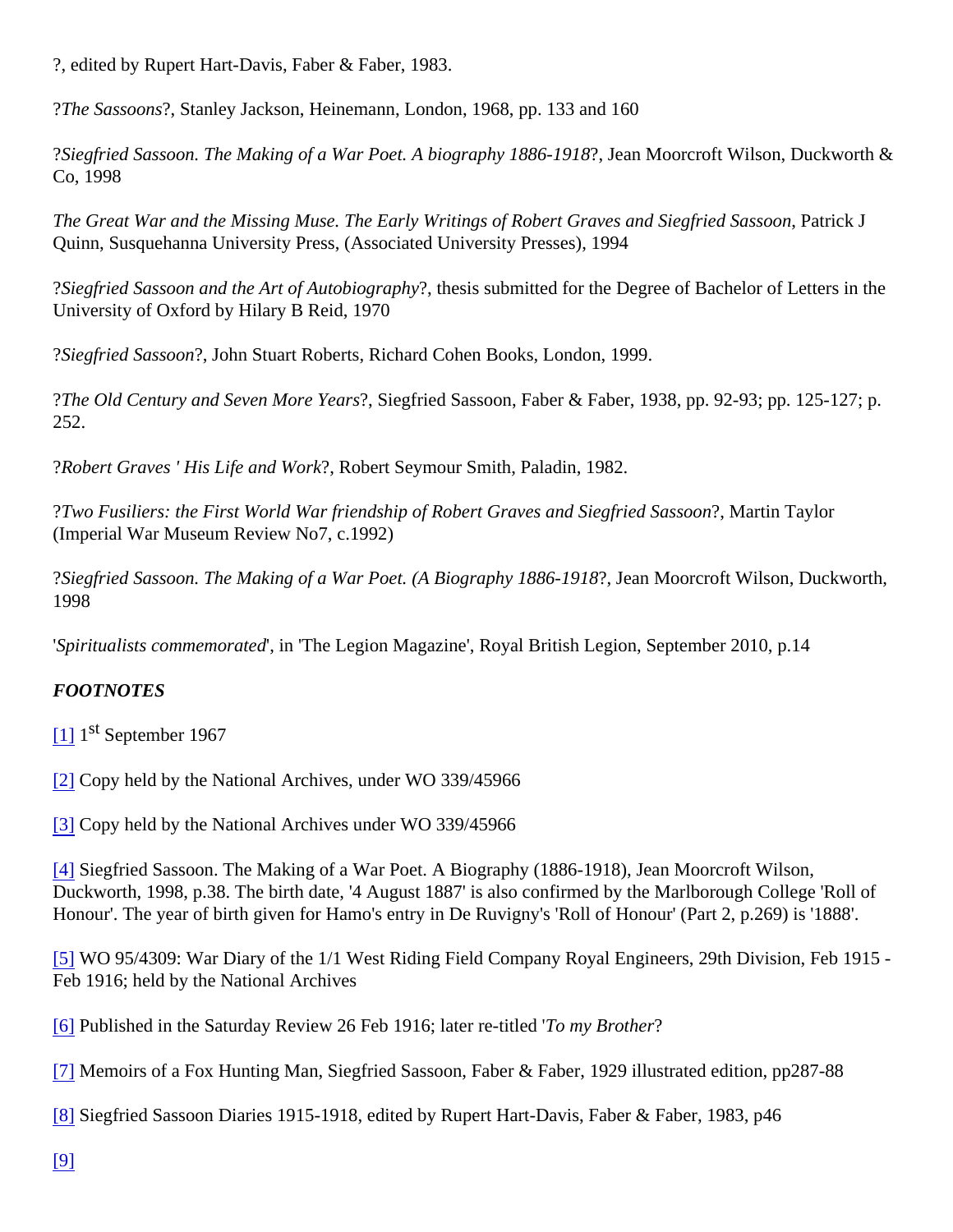<span id="page-4-0"></span>?, edited by Rupert Hart-Davis, Faber & Faber, 1983.

?The Sassoon's Stanley Jackson, Heinemann, London, 1968, pp. 133 and 160

?Siegfried Sassoon. The Making of a War Poet. A biography 1886-1944 Moorcroft Wilson, Duckworth & Co, 1998

The Great War and the Missing Muse. The Early Writings of Robert Graves and Siegfried Seastocknu Quinn, Susquehanna University Press, (Associated University Presses), 1994

?Siegfried Sassoon and the Art of Autobiographytesis submitted for the Degree of Bachelor of Letters in the University of Oxford by Hilary B Reid, 1970

? Siegfried Sassoon, John Stuart Roberts, Richard Cohen Books, London, 1999.

?The Old Century and Seven More Yeaßiegfried Sassoon, Faber & Faber, 1938, pp. 92-93; pp. 125-127; p. 252.

?Robert Graves ' His Life and Work Robert Seymour Smith, Paladin, 1982.

?Two Fusiliers: the First World War friendship of Robert Graves and Siegfried SassMentin Taylor (Imperial War Museum Review No7, c.1992)

?Siegfried Sassoon. The Making of a War Poet. (A Biography 1886-1914) Moorcroft Wilson, Duckworth, 1998

'Spiritualists commemorated'n 'The Legion Magazine', Royal British Legion, September 2010, p.14

#### FOOTNOTES

- [\[1\]](#page-0-0) 1<sup>st</sup> September 1967
- [\[2\]](#page-0-0) Copy held by the National Archives, under WO 339/45966

[\[3\]](#page-0-0) Copy held by the National Archives under WO 339/45966

[\[4\]](#page-0-0) Siegfried Sassoon. The Making of a War Poet. A Biography (1886-1918), Jean Moorcroft Wilson, Duckworth, 1998, p.38. The birth date, '4 August 1887' is also confirmed by the Marlborough College 'Roll of Honour'. The year of birth given for Hamo's entry in De Ruvigny's 'Roll of Honour' (Part 2, p.269) is '1888'.

[\[5\]](#page-1-0) WO 95/4309: War Diary of the 1/1 West Riding Field Company Royal Engineers, 29th Division, Feb 1915 Feb 1916; held by the National Archives

[\[6\]](#page-1-0) Published in the Saturday Review 26 Feb 1916; later re-tite thy Brother

[\[7\]](#page-1-0) Memoirs of a Fox Hunting Man, Siegfried Sassoon, Faber & Faber, 1929 illustrated edition, pp287-88

[\[8\]](#page-1-0) Siegfried Sassoon Diaries 1915-1918, edited by Rupert Hart-Davis, Faber & Faber, 1983, p46

[\[9\]](#page-1-0)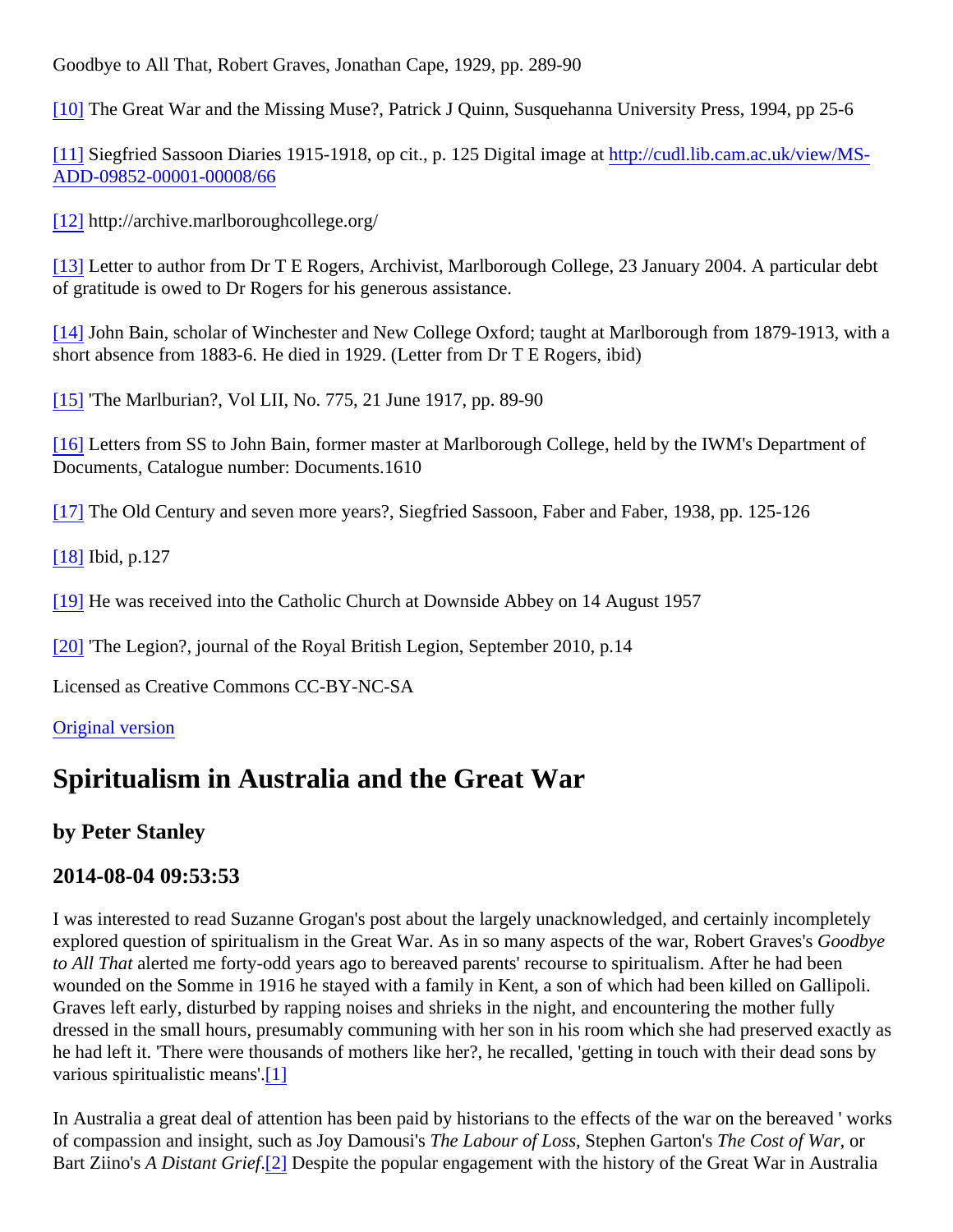<span id="page-5-0"></span>Goodbye to All That, Robert Graves, Jonathan Cape, 1929, pp. 289-90

[\[10\]](#page-2-0) The Great War and the Missing Muse?, Patrick J Quinn, Susquehanna University Press, 1994, pp 25-6

[\[11\]](#page-2-0) Siegfried Sassoon Diaries 1915-1918, op cit., p. 125 Digital imagt pat cudl.lib.cam.ac.uk/view/MS-[ADD-09852-00001-00008/6](http://cudl.lib.cam.ac.uk/view/MS-ADD-09852-00001-00008/66)6

[\[12\]](#page-2-0) http://archive.marlboroughcollege.org/

[\[13\]](#page-2-0) Letter to author from Dr T E Rogers, Archivist, Marlborough College, 23 January 2004. A particular debt of gratitude is owed to Dr Rogers for his generous assistance.

[\[14\]](#page-2-0) John Bain, scholar of Winchester and New College Oxford; taught at Marlborough from 1879-1913, with a short absence from 1883-6. He died in 1929. (Letter from Dr T E Rogers, ibid)

[\[15\]](#page-2-0) 'The Marlburian?, Vol LII, No. 775, 21 June 1917, pp. 89-90

[\[16\]](#page-2-0) Letters from SS to John Bain, former master at Marlborough College, held by the IWM's Department of Documents, Catalogue number: Documents.1610

[\[17\]](#page-2-0) The Old Century and seven more years?, Siegfried Sassoon, Faber and Faber, 1938, pp. 125-126

[\[18\]](#page-2-0) Ibid, p.127

[\[19\]](#page-3-0) He was received into the Catholic Church at Downside Abbey on 14 August 1957

[\[20\]](#page-3-0) 'The Legion?, journal of the Royal British Legion, September 2010, p.14

Licensed as Creative Commons CC-BY-NC-SA

[Original version](http://ww1centenary.oucs.ox.ac.uk/?p=4053?utm_source=blogpost&utm_medium=pdf&utm_campaign=download)

## Spiritualism in Australia and the Great War

by Peter Stanley

#### 2014-08-04 09:53:53

I was interested to read Suzanne Grogan's post about the largely unacknowledged, and certainly incompletel explored question of spiritualism in the Great War. As in so many aspects of the war, Robert Gondby's to All That alerted me forty-odd years ago to bereaved parents' recourse to spiritualism. After he had been wounded on the Somme in 1916 he stayed with a family in Kent, a son of which had been killed on Gallipoli. Graves left early, disturbed by rapping noises and shrieks in the night, and encountering the mother fully dressed in the small hours, presumably communing with her son in his room which she had preserved exactly he had left it. 'There were thousands of mothers like her?, he recalled, 'getting in touch with their dead sons b various spiritualistic means'.

In Australia a great deal of attention has been paid by historians to the effects of the war on the bereaved 'wo of compassion and insight, such as Joy Damousies Labour of Los Stephen Garton The Cost of Waror Bart Ziino's A Distant Grie[f](#page-4-0)<sup>[2]</sup> Despite the popular engagement with the history of the Great War in Australia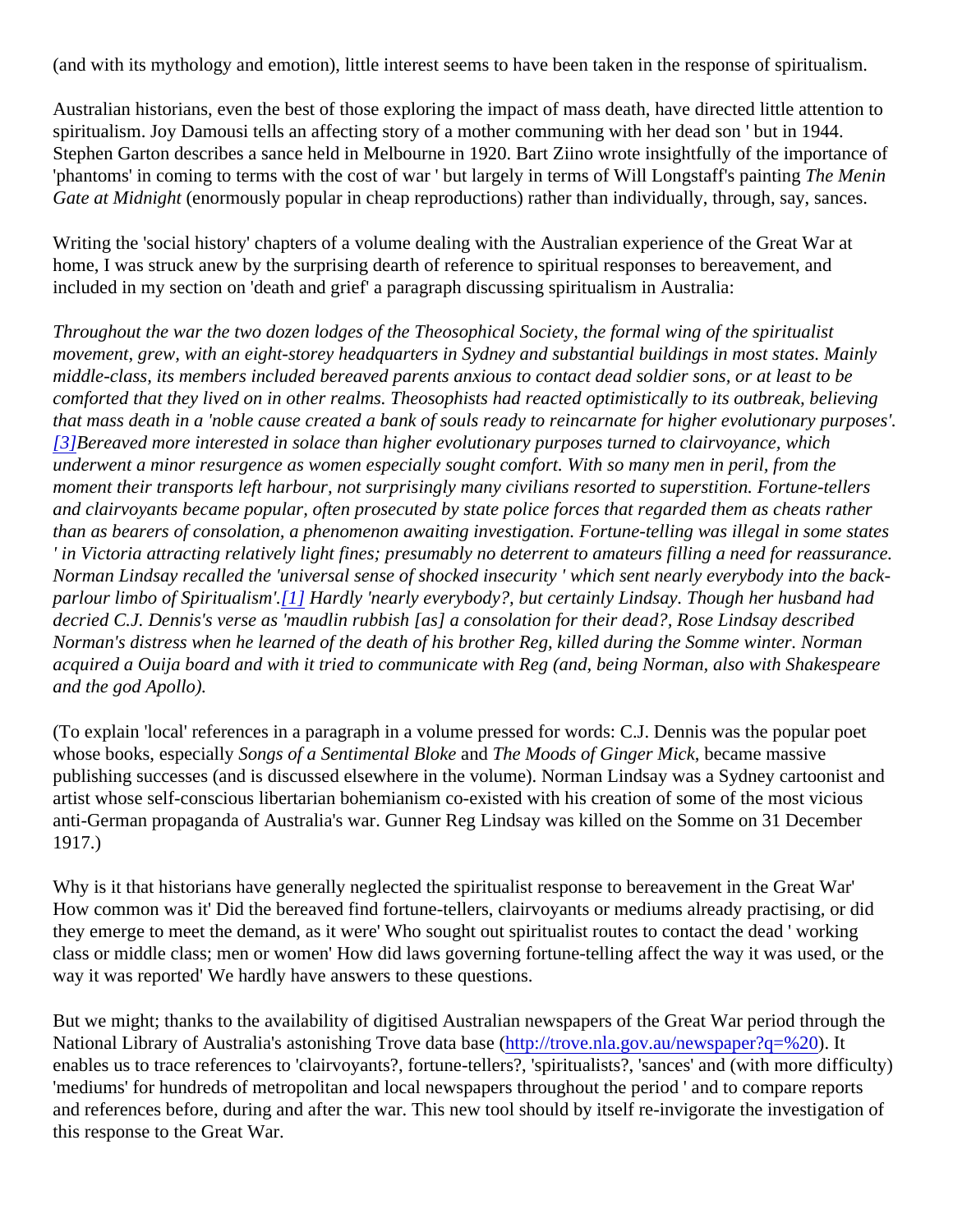(and with its mythology and emotion), little interest seems to have been taken in the response of spiritualism.

Australian historians, even the best of those exploring the impact of mass death, have directed little attention spiritualism. Joy Damousi tells an affecting story of a mother communing with her dead son ' but in 1944. Stephen Garton describes a sance held in Melbourne in 1920. Bart Ziino wrote insightfully of the importance of 'phantoms' in coming to terms with the cost of war ' but largely in terms of Will Longstaff's painting ening Gate at Midnight (enormously popular in cheap reproductions) rather than individually, through, say, sances.

Writing the 'social history' chapters of a volume dealing with the Australian experience of the Great War at home, I was struck anew by the surprising dearth of reference to spiritual responses to bereavement, and included in my section on 'death and grief' a paragraph discussing spiritualism in Australia:

Throughout the war the two dozen lodges of the Theosophical Society, the formal wing of the spiritualist movement, grew, with an eight-storey headquarters in Sydney and substantial buildings in most states. Mainly middle-class, its members included bereaved parents anxious to contact dead soldier sons, or at least to be comforted that they lived on in other realms. Theosophists had reacted optimistically to its outbreak, believing that mass death in a 'noble cause created a bank of souls ready to reincarnate for higher evolutionary purpos [\[3\]](#page-4-0) Bereaved more interested in solace than higher evolutionary purposes turned to clairvoyance, which underwent a minor resurgence as women especially sought comfort. With so many men in peril, from the moment their transports left harbour, not surprisingly many civilians resorted to superstition. Fortune-tellers and clairvoyants became popular, often prosecuted by state police forces that regarded them as cheats rathe than as bearers of consolation, a phenomenon awaiting investigation. Fortune-telling was illegal in some state ' in Victoria attracting relatively light fines; presumably no deterrent to amateurs filling a need for reassurance. Norman Lindsay recalled the 'universal sense of shocked insecurity ' which sent nearly everybody into the ba parlour limbo of Spiritualism<sup>'</sup>.[1] Hardly 'nearly everybody?, but certainly Lindsay. Though her husband had decried C.J. Dennis's verse as 'maudlin rubbish [as] a consolation for their dead?, Rose Lindsay described Norman's distress when he learned of the death of his brother Reg, killed during the Somme winter. Norman acquired a Ouija board and with it tried to communicate with Reg (and, being Norman, also with Shakespeare and the god Apollo).

(To explain 'local' references in a paragraph in a volume pressed for words: C.J. Dennis was the popular poet whose books, especial Songs of a Sentimental Bloaned The Moods of Ginger Mick became massive publishing successes (and is discussed elsewhere in the volume). Norman Lindsay was a Sydney cartoonist artist whose self-conscious libertarian bohemianism co-existed with his creation of some of the most vicious anti-German propaganda of Australia's war. Gunner Reg Lindsay was killed on the Somme on 31 December 1917.)

Why is it that historians have generally neglected the spiritualist response to bereavement in the Great War' How common was it' Did the bereaved find fortune-tellers, clairvoyants or mediums already practising, or did they emerge to meet the demand, as it were' Who sought out spiritualist routes to contact the dead ' working class or middle class; men or women' How did laws governing fortune-telling affect the way it was used, or the way it was reported' We hardly have answers to these questions.

But we might; thanks to the availability of digitised Australian newspapers of the Great War period through the National Library of Australia's astonishing Trove data bate (/trove.nla.gov.au/newspaper?q=%20 enables us to trace references to 'clairvoyants?, fortune-tellers?, 'spiritualists?, 'sances' and (with more difficu 'mediums' for hundreds of metropolitan and local newspapers throughout the period ' and to compare reports and references before, during and after the war. This new tool should by itself re-invigorate the investigation o this response to the Great War.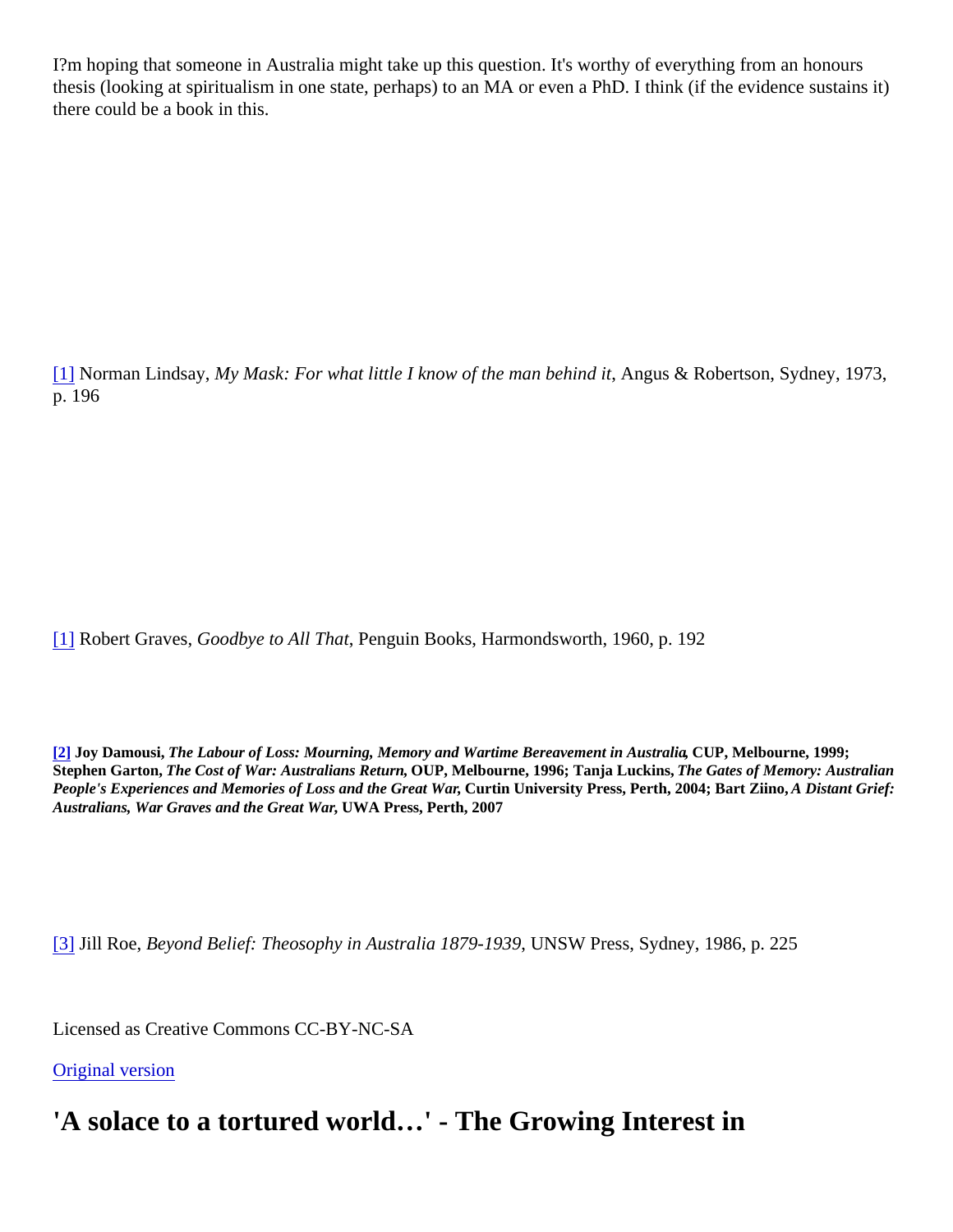I?m hoping that someone in Australia might take up this question. It's worthy of everything from an honours thesis (looking at spiritualism in one state, perhaps) to an MA or even a PhD. I think (if the evidence sustains there could be a book in this.

[\[1\]](#page-0-0) Norman Lindsay, My Mask: For what little I know of the man behind Athque & Robertson, Sydney, 1973, p. 196

[\[1\]](#page-0-0) Robert GravesGoodbye to All That Penguin Books, Harmondsworth, 1960, p. 192

[\[2\]](#page-0-0) Joy Damousi, The Labour of Loss: Mourning, Memory and Wartime Bereavement in Austral (all P, Melbourne, 1999; Stephen Garton, The Cost of War: Australians ReturrOUP, Melbourne, 1996; Tanja Luckins, The Gates of Memory: Australian People's Experiences and Memories of Loss and the Great Wartin University Press, Perth, 2004; Bart Ziino, A Distant Grief: Australians, War Graves and the Great War WA Press, Perth, 2007

[\[3\]](#page-0-0) Jill Roe, Beyond Belief: Theosophy in Australia 1879-1,939 SW Press, Sydney, 1986, p. 225

Licensed as Creative Commons CC-BY-NC-SA

[Original version](http://ww1centenary.oucs.ox.ac.uk/?p=3319?utm_source=blogpost&utm_medium=pdf&utm_campaign=download)

'A solace to a tortured world…' - The Growing Interest in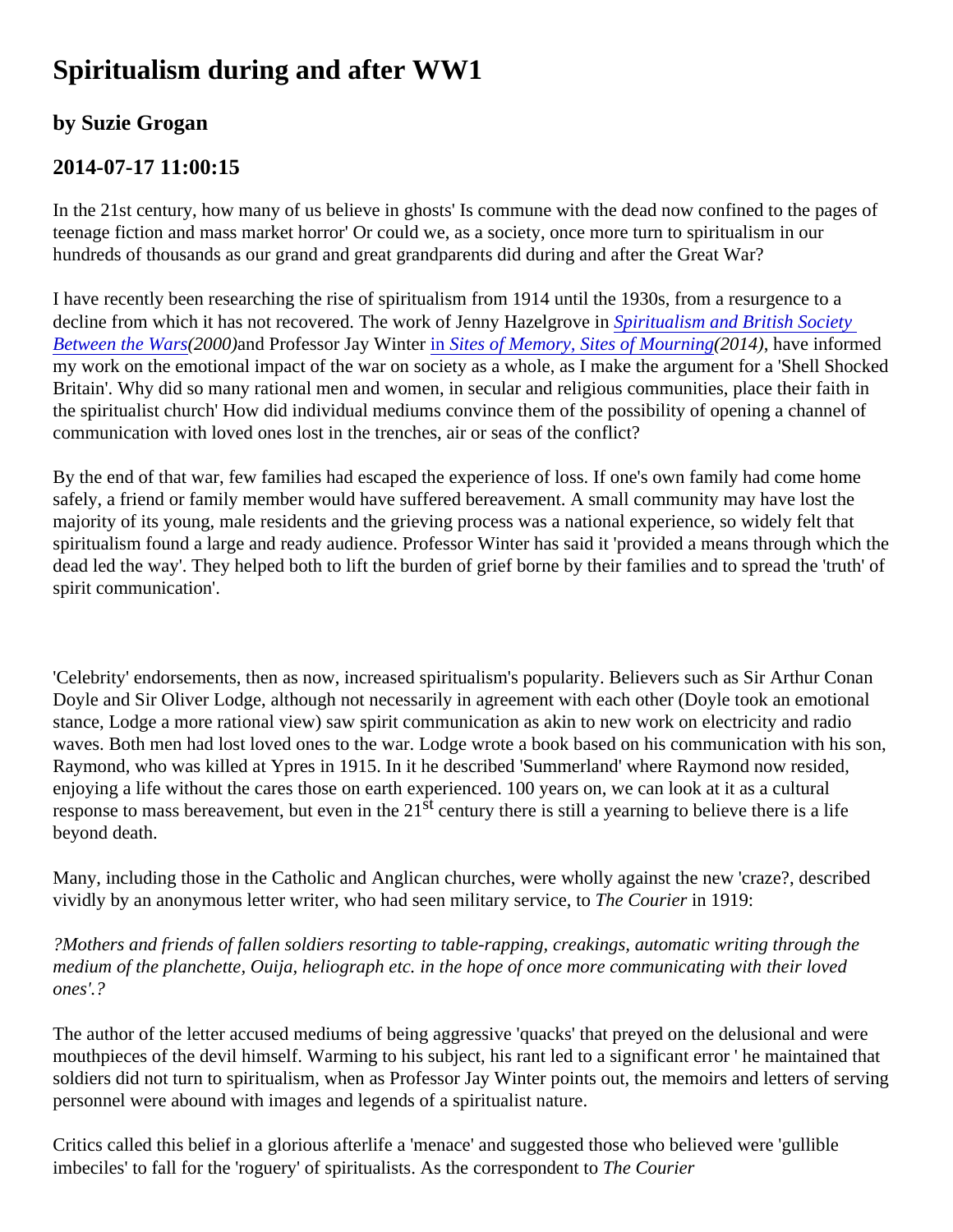# Spiritualism during and after WW1

### by Suzie Grogan

### 2014-07-17 11:00:15

In the 21st century, how many of us believe in ghosts' Is commune with the dead now confined to the pages of teenage fiction and mass market horror' Or could we, as a society, once more turn to spiritualism in our hundreds of thousands as our grand and great grandparents did during and after the Great War?

I have recently been researching the rise of spiritualism from 1914 until the 1930s, from a resurgence to a decline from which it has not recovered. The work of Jenny Hazelgrone intualism and British Society [Between the Wa](http://books.google.co.uk/books/about/Spiritualism_and_British_Society_Between.html?id=9cBKC5KZpoUC)ra 2000 and Professor Jay Winter Sites of Memory, Sites of Mourn [\(](http://books.google.co.uk/books/about/Spiritualism_and_British_Society_Between.html?id=9cBKC5KZpoUC)2014), have informed my work on the emotional impact of the war on society as a whole, as I make the argument for a 'Shell Shock Britain'. Why did so many rational men and women, in secular and religious communities, place their faith in the spiritualist church' How did individual mediums convince them of the possibility of opening a channel of communication with loved ones lost in the trenches, air or seas of the conflict?

By the end of that war, few families had escaped the experience of loss. If one's own family had come home safely, a friend or family member would have suffered bereavement. A small community may have lost the majority of its young, male residents and the grieving process was a national experience, so widely felt that spiritualism found a large and ready audience. Professor Winter has said it 'provided a means through which dead led the way'. They helped both to lift the burden of grief borne by their families and to spread the 'truth' of spirit communication'.

'Celebrity' endorsements, then as now, increased spiritualism's popularity. Believers such as Sir Arthur Conan Doyle and Sir Oliver Lodge, although not necessarily in agreement with each other (Doyle took an emotional stance, Lodge a more rational view) saw spirit communication as akin to new work on electricity and radio waves. Both men had lost loved ones to the war. Lodge wrote a book based on his communication with his son, Raymond, who was killed at Ypres in 1915. In it he described 'Summerland' where Raymond now resided, enjoying a life without the cares those on earth experienced. 100 years on, we can look at it as a cultural response to mass bereavement, but even in  $\theta$  is extitury there is still a yearning to believe there is a life beyond death.

Many, including those in the Catholic and Anglican churches, were wholly against the new 'craze?, described vividly by an anonymous letter writer, who had seen military service, to Dourier in 1919:

?Mothers and friends of fallen soldiers resorting to table-rapping, creakings, automatic writing through the medium of the planchette, Ouija, heliograph etc. in the hope of once more communicating with their loved ones'.?

The author of the letter accused mediums of being aggressive 'quacks' that preyed on the delusional and were mouthpieces of the devil himself. Warming to his subject, his rant led to a significant error ' he maintained that soldiers did not turn to spiritualism, when as Professor Jay Winter points out, the memoirs and letters of servi personnel were abound with images and legends of a spiritualist nature.

Critics called this belief in a glorious afterlife a 'menace' and suggested those who believed were 'gullible  $im$ beciles' to fall for the 'roguery' of spiritualists. As the corresponder the Courier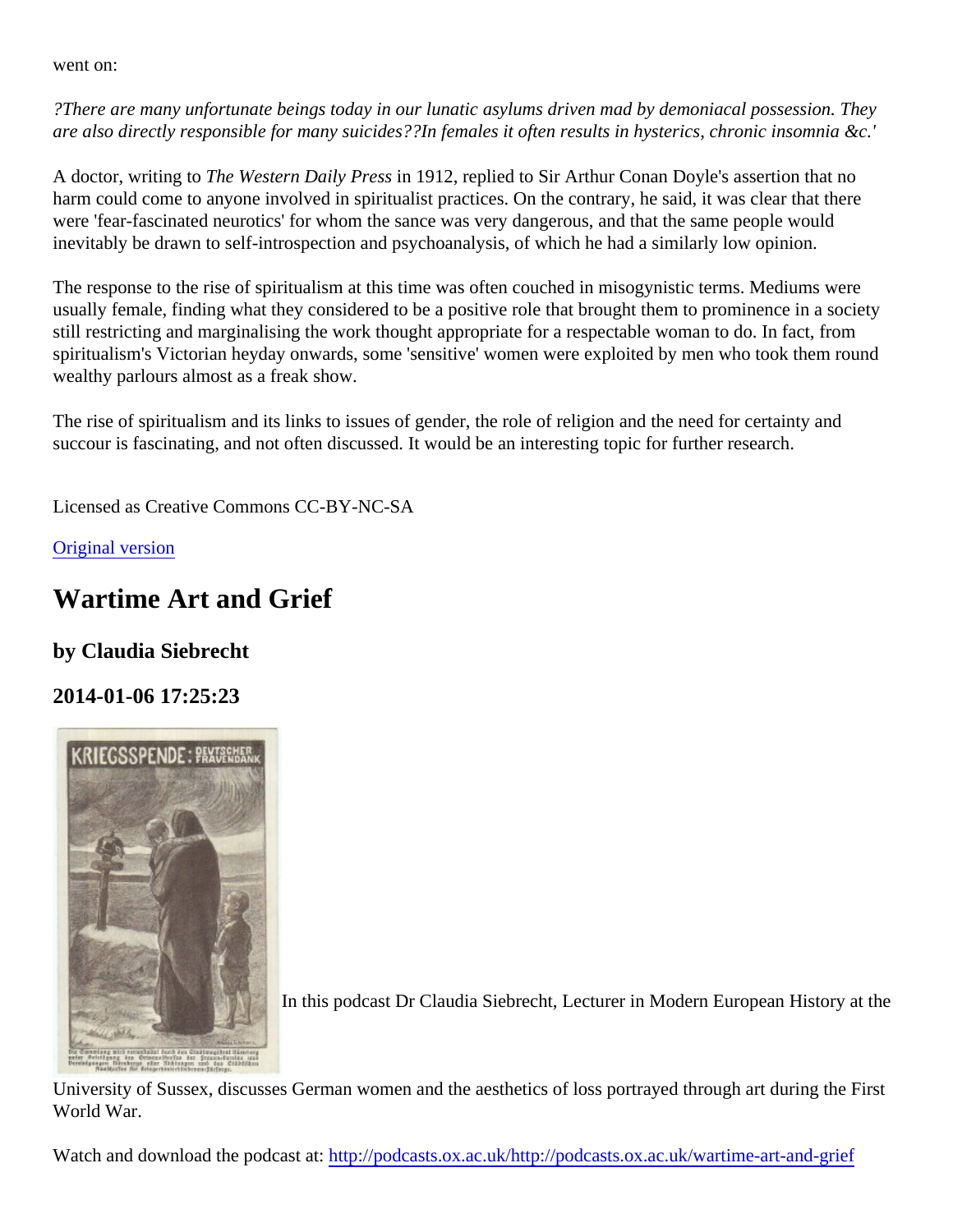went on:

?There are many unfortunate beings today in our lunatic asylums driven mad by demoniacal possession. The are also directly responsible for many suicides??In females it often results in hysterics, chronic insomnia &c.'

A doctor, writing to The Western Daily Press 1912, replied to Sir Arthur Conan Doyle's assertion that no harm could come to anyone involved in spiritualist practices. On the contrary, he said, it was clear that there were 'fear-fascinated neurotics' for whom the sance was very dangerous, and that the same people would inevitably be drawn to self-introspection and psychoanalysis, of which he had a similarly low opinion.

The response to the rise of spiritualism at this time was often couched in misogynistic terms. Mediums were usually female, finding what they considered to be a positive role that brought them to prominence in a societ still restricting and marginalising the work thought appropriate for a respectable woman to do. In fact, from spiritualism's Victorian heyday onwards, some 'sensitive' women were exploited by men who took them round wealthy parlours almost as a freak show.

The rise of spiritualism and its links to issues of gender, the role of religion and the need for certainty and succour is fascinating, and not often discussed. It would be an interesting topic for further research.

Licensed as Creative Commons CC-BY-NC-SA

[Original version](http://ww1centenary.oucs.ox.ac.uk/?p=3300?utm_source=blogpost&utm_medium=pdf&utm_campaign=download)

### Wartime Art and Grief

by Claudia Siebrecht

2014-01-06 17:25:23

In this podcast Dr Claudia Siebrecht, Lecturer in Modern European History at the

University of Sussex, discusses German women and the aesthetics of loss portrayed through art during the F World War.

Watch and download the podcast atp://podcasts.ox.ac.uk/http://podcasts.ox.ac.uk/wartime-art-and-grief